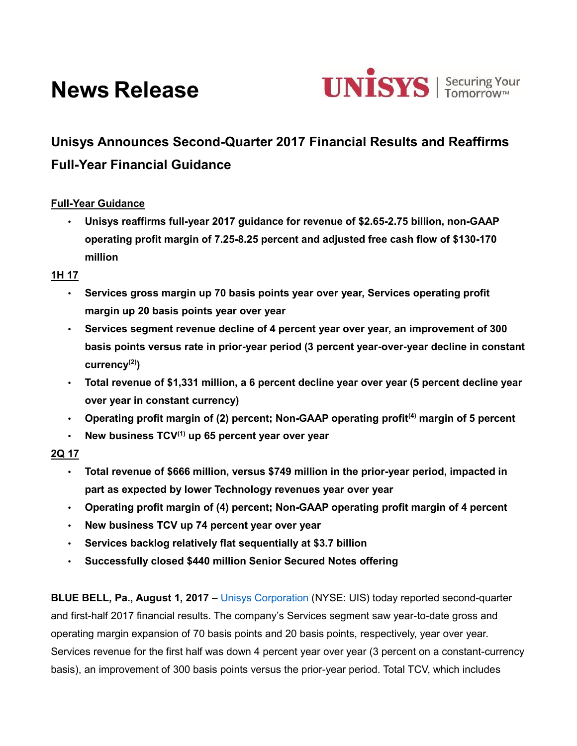# **News Release**



# **Unisys Announces Second-Quarter 2017 Financial Results and Reaffirms Full-Year Financial Guidance**

# **Full-Year Guidance**

• **Unisys reaffirms full-year 2017 guidance for revenue of \$2.65-2.75 billion, non-GAAP operating profit margin of 7.25-8.25 percent and adjusted free cash flow of \$130-170 million**

#### **1H 17**

- **Services gross margin up 70 basis points year over year, Services operating profit margin up 20 basis points year over year**
- **Services segment revenue decline of 4 percent year over year, an improvement of 300 basis points versus rate in prior-year period (3 percent year-over-year decline in constant currency(2))**
- **Total revenue of \$1,331 million, a 6 percent decline year over year (5 percent decline year over year in constant currency)**
- **Operating profit margin of (2) percent; Non-GAAP operating profit(4) margin of 5 percent**
- **New business TCV(1) up 65 percent year over year**

# **2Q 17**

- **Total revenue of \$666 million, versus \$749 million in the prior-year period, impacted in part as expected by lower Technology revenues year over year**
- **Operating profit margin of (4) percent; Non-GAAP operating profit margin of 4 percent**
- **New business TCV up 74 percent year over year**
- **Services backlog relatively flat sequentially at \$3.7 billion**
- **Successfully closed \$440 million Senior Secured Notes offering**

**BLUE BELL, Pa., August 1, 2017** – [Unisys Corporation](http://www.unisys.com/) (NYSE: UIS) today reported second-quarter and first-half 2017 financial results. The company's Services segment saw year-to-date gross and operating margin expansion of 70 basis points and 20 basis points, respectively, year over year. Services revenue for the first half was down 4 percent year over year (3 percent on a constant-currency basis), an improvement of 300 basis points versus the prior-year period. Total TCV, which includes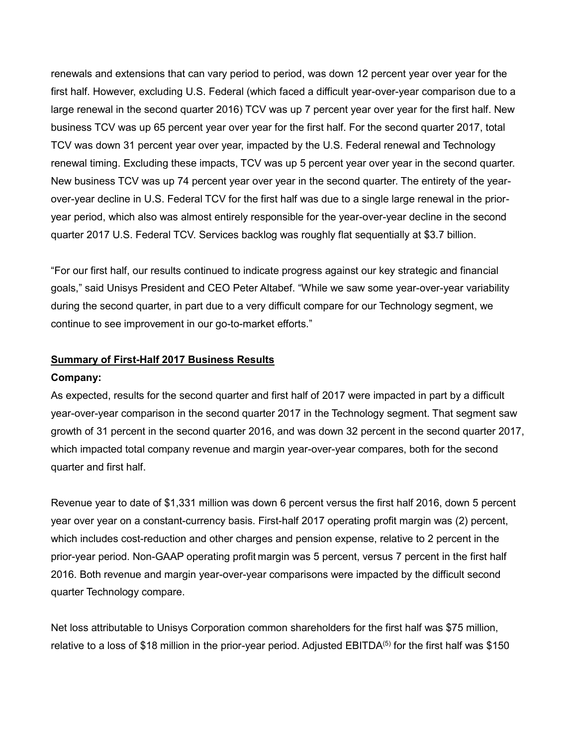renewals and extensions that can vary period to period, was down 12 percent year over year for the first half. However, excluding U.S. Federal (which faced a difficult year-over-year comparison due to a large renewal in the second quarter 2016) TCV was up 7 percent year over year for the first half. New business TCV was up 65 percent year over year for the first half. For the second quarter 2017, total TCV was down 31 percent year over year, impacted by the U.S. Federal renewal and Technology renewal timing. Excluding these impacts, TCV was up 5 percent year over year in the second quarter. New business TCV was up 74 percent year over year in the second quarter. The entirety of the yearover-year decline in U.S. Federal TCV for the first half was due to a single large renewal in the prioryear period, which also was almost entirely responsible for the year-over-year decline in the second quarter 2017 U.S. Federal TCV. Services backlog was roughly flat sequentially at \$3.7 billion.

"For our first half, our results continued to indicate progress against our key strategic and financial goals," said Unisys President and CEO Peter Altabef. "While we saw some year-over-year variability during the second quarter, in part due to a very difficult compare for our Technology segment, we continue to see improvement in our go-to-market efforts."

#### **Summary of First-Half 2017 Business Results**

#### **Company:**

As expected, results for the second quarter and first half of 2017 were impacted in part by a difficult year-over-year comparison in the second quarter 2017 in the Technology segment. That segment saw growth of 31 percent in the second quarter 2016, and was down 32 percent in the second quarter 2017, which impacted total company revenue and margin year-over-year compares, both for the second quarter and first half.

Revenue year to date of \$1,331 million was down 6 percent versus the first half 2016, down 5 percent year over year on a constant-currency basis. First-half 2017 operating profit margin was (2) percent, which includes cost-reduction and other charges and pension expense, relative to 2 percent in the prior-year period. Non-GAAP operating profit margin was 5 percent, versus 7 percent in the first half 2016. Both revenue and margin year-over-year comparisons were impacted by the difficult second quarter Technology compare.

Net loss attributable to Unisys Corporation common shareholders for the first half was \$75 million, relative to a loss of \$18 million in the prior-year period. Adjusted EBITDA<sup>(5)</sup> for the first half was \$150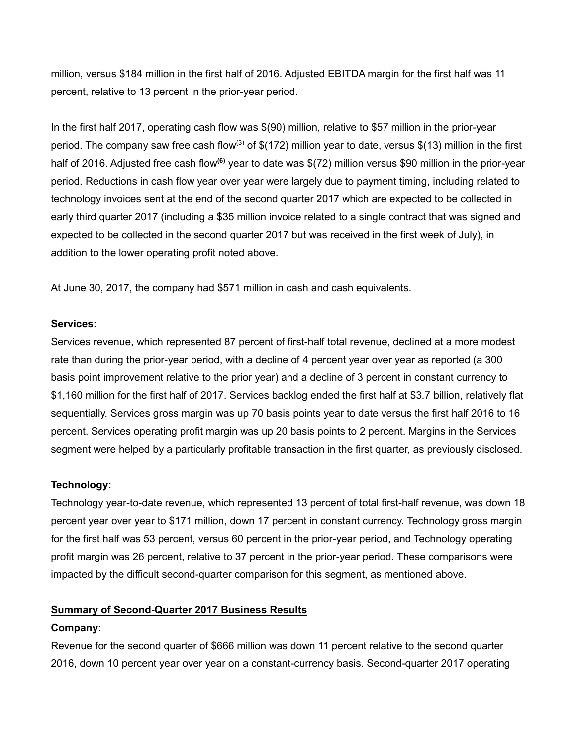million, versus \$184 million in the first half of 2016. Adjusted EBITDA margin for the first half was 11 percent, relative to 13 percent in the prior-year period.

In the first half 2017, operating cash flow was \$(90) million, relative to \$57 million in the prior-year period. The company saw free cash flow<sup>(3)</sup> of  $$$ (172) million year to date, versus  $$$ (13) million in the first half of 2016. Adjusted free cash flow**(6)** year to date was \$(72) million versus \$90 million in the prior-year period. Reductions in cash flow year over year were largely due to payment timing, including related to technology invoices sent at the end of the second quarter 2017 which are expected to be collected in early third quarter 2017 (including a \$35 million invoice related to a single contract that was signed and expected to be collected in the second quarter 2017 but was received in the first week of July), in addition to the lower operating profit noted above.

At June 30, 2017, the company had \$571 million in cash and cash equivalents.

#### **Services:**

Services revenue, which represented 87 percent of first-half total revenue, declined at a more modest rate than during the prior-year period, with a decline of 4 percent year over year as reported (a 300 basis point improvement relative to the prior year) and a decline of 3 percent in constant currency to \$1,160 million for the first half of 2017. Services backlog ended the first half at \$3.7 billion, relatively flat sequentially. Services gross margin was up 70 basis points year to date versus the first half 2016 to 16 percent. Services operating profit margin was up 20 basis points to 2 percent. Margins in the Services segment were helped by a particularly profitable transaction in the first quarter, as previously disclosed.

#### **Technology:**

Technology year-to-date revenue, which represented 13 percent of total first-half revenue, was down 18 percent year over year to \$171 million, down 17 percent in constant currency. Technology gross margin for the first half was 53 percent, versus 60 percent in the prior-year period, and Technology operating profit margin was 26 percent, relative to 37 percent in the prior-year period. These comparisons were impacted by the difficult second-quarter comparison for this segment, as mentioned above.

#### **Summary of Second-Quarter 2017 Business Results**

#### **Company:**

Revenue for the second quarter of \$666 million was down 11 percent relative to the second quarter 2016, down 10 percent year over year on a constant-currency basis. Second-quarter 2017 operating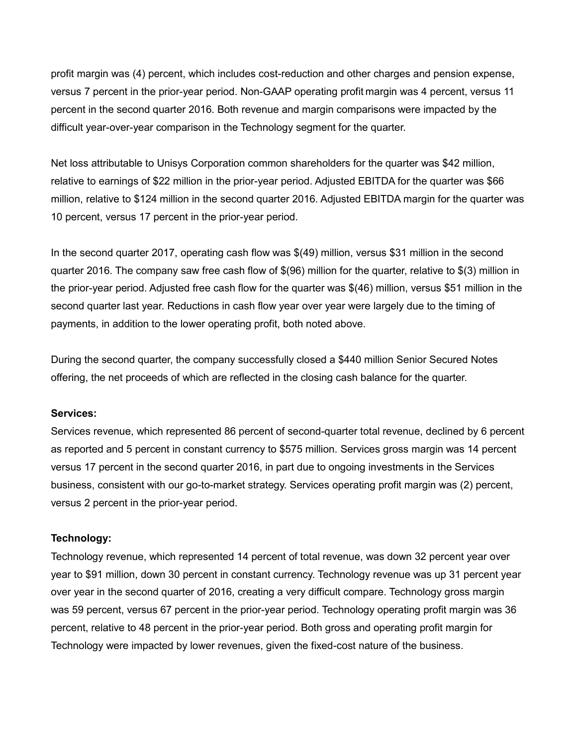profit margin was (4) percent, which includes cost-reduction and other charges and pension expense, versus 7 percent in the prior-year period. Non-GAAP operating profit margin was 4 percent, versus 11 percent in the second quarter 2016. Both revenue and margin comparisons were impacted by the difficult year-over-year comparison in the Technology segment for the quarter.

Net loss attributable to Unisys Corporation common shareholders for the quarter was \$42 million, relative to earnings of \$22 million in the prior-year period. Adjusted EBITDA for the quarter was \$66 million, relative to \$124 million in the second quarter 2016. Adjusted EBITDA margin for the quarter was 10 percent, versus 17 percent in the prior-year period.

In the second quarter 2017, operating cash flow was \$(49) million, versus \$31 million in the second quarter 2016. The company saw free cash flow of \$(96) million for the quarter, relative to \$(3) million in the prior-year period. Adjusted free cash flow for the quarter was \$(46) million, versus \$51 million in the second quarter last year. Reductions in cash flow year over year were largely due to the timing of payments, in addition to the lower operating profit, both noted above.

During the second quarter, the company successfully closed a \$440 million Senior Secured Notes offering, the net proceeds of which are reflected in the closing cash balance for the quarter.

#### **Services:**

Services revenue, which represented 86 percent of second-quarter total revenue, declined by 6 percent as reported and 5 percent in constant currency to \$575 million. Services gross margin was 14 percent versus 17 percent in the second quarter 2016, in part due to ongoing investments in the Services business, consistent with our go-to-market strategy. Services operating profit margin was (2) percent, versus 2 percent in the prior-year period.

#### **Technology:**

Technology revenue, which represented 14 percent of total revenue, was down 32 percent year over year to \$91 million, down 30 percent in constant currency. Technology revenue was up 31 percent year over year in the second quarter of 2016, creating a very difficult compare. Technology gross margin was 59 percent, versus 67 percent in the prior-year period. Technology operating profit margin was 36 percent, relative to 48 percent in the prior-year period. Both gross and operating profit margin for Technology were impacted by lower revenues, given the fixed-cost nature of the business.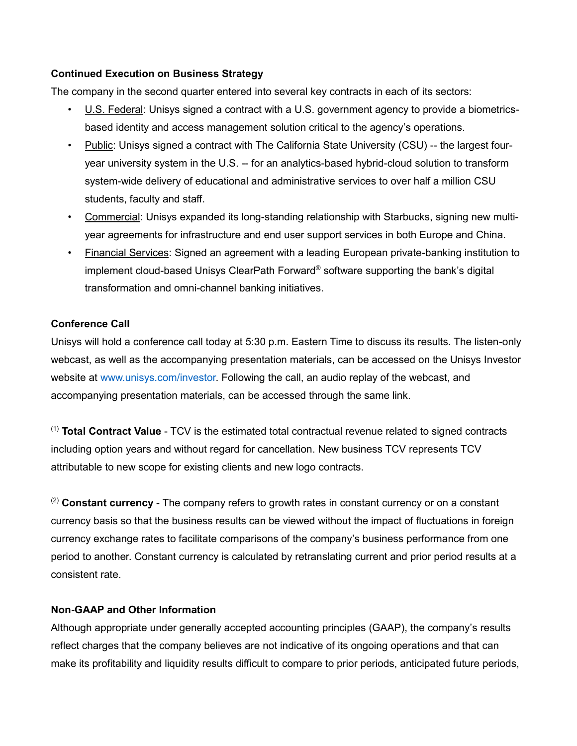#### **Continued Execution on Business Strategy**

The company in the second quarter entered into several key contracts in each of its sectors:

- U.S. Federal: Unisys signed a contract with a U.S. government agency to provide a biometricsbased identity and access management solution critical to the agency's operations.
- Public: Unisys signed a contract with The California State University (CSU) -- the largest fouryear university system in the U.S. -- for an analytics-based hybrid-cloud solution to transform system-wide delivery of educational and administrative services to over half a million CSU students, faculty and staff.
- Commercial: Unisys expanded its long-standing relationship with Starbucks, signing new multiyear agreements for infrastructure and end user support services in both Europe and China.
- Financial Services: Signed an agreement with a leading European private-banking institution to implement cloud-based Unisys ClearPath Forward® software supporting the bank's digital transformation and omni-channel banking initiatives.

#### **Conference Call**

Unisys will hold a conference call today at 5:30 p.m. Eastern Time to discuss its results. The listen-only webcast, as well as the accompanying presentation materials, can be accessed on the Unisys Investor website at www.unisys.com/investor. Following the call, an audio replay of the webcast, and accompanying presentation materials, can be accessed through the same link.

(1) **Total Contract Value** - TCV is the estimated total contractual revenue related to signed contracts including option years and without regard for cancellation. New business TCV represents TCV attributable to new scope for existing clients and new logo contracts.

(2) **Constant currency** - The company refers to growth rates in constant currency or on a constant currency basis so that the business results can be viewed without the impact of fluctuations in foreign currency exchange rates to facilitate comparisons of the company's business performance from one period to another. Constant currency is calculated by retranslating current and prior period results at a consistent rate.

#### **Non-GAAP and Other Information**

Although appropriate under generally accepted accounting principles (GAAP), the company's results reflect charges that the company believes are not indicative of its ongoing operations and that can make its profitability and liquidity results difficult to compare to prior periods, anticipated future periods,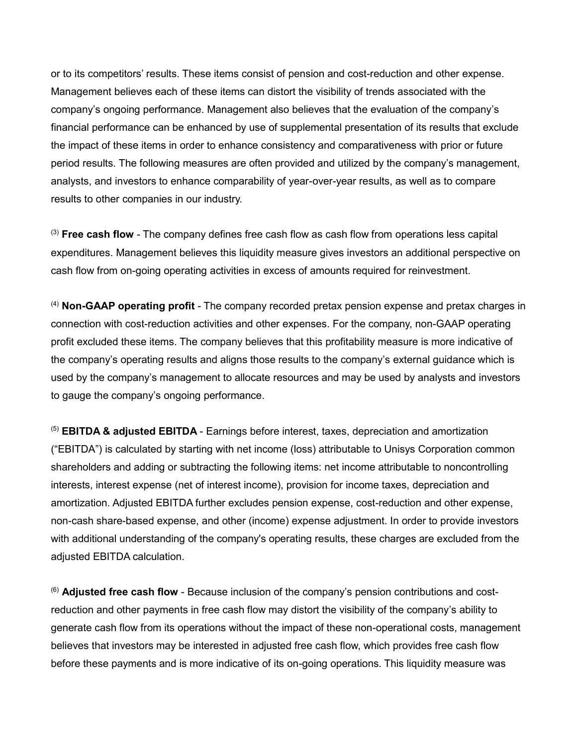or to its competitors' results. These items consist of pension and cost-reduction and other expense. Management believes each of these items can distort the visibility of trends associated with the company's ongoing performance. Management also believes that the evaluation of the company's financial performance can be enhanced by use of supplemental presentation of its results that exclude the impact of these items in order to enhance consistency and comparativeness with prior or future period results. The following measures are often provided and utilized by the company's management, analysts, and investors to enhance comparability of year-over-year results, as well as to compare results to other companies in our industry.

(3) **Free cash flow** - The company defines free cash flow as cash flow from operations less capital expenditures. Management believes this liquidity measure gives investors an additional perspective on cash flow from on-going operating activities in excess of amounts required for reinvestment.

(4) **Non-GAAP operating profit** - The company recorded pretax pension expense and pretax charges in connection with cost-reduction activities and other expenses. For the company, non-GAAP operating profit excluded these items. The company believes that this profitability measure is more indicative of the company's operating results and aligns those results to the company's external guidance which is used by the company's management to allocate resources and may be used by analysts and investors to gauge the company's ongoing performance.

(5) **EBITDA & adjusted EBITDA** - Earnings before interest, taxes, depreciation and amortization ("EBITDA") is calculated by starting with net income (loss) attributable to Unisys Corporation common shareholders and adding or subtracting the following items: net income attributable to noncontrolling interests, interest expense (net of interest income), provision for income taxes, depreciation and amortization. Adjusted EBITDA further excludes pension expense, cost-reduction and other expense, non-cash share-based expense, and other (income) expense adjustment. In order to provide investors with additional understanding of the company's operating results, these charges are excluded from the adjusted EBITDA calculation.

(6) **Adjusted free cash flow** - Because inclusion of the company's pension contributions and costreduction and other payments in free cash flow may distort the visibility of the company's ability to generate cash flow from its operations without the impact of these non-operational costs, management believes that investors may be interested in adjusted free cash flow, which provides free cash flow before these payments and is more indicative of its on-going operations. This liquidity measure was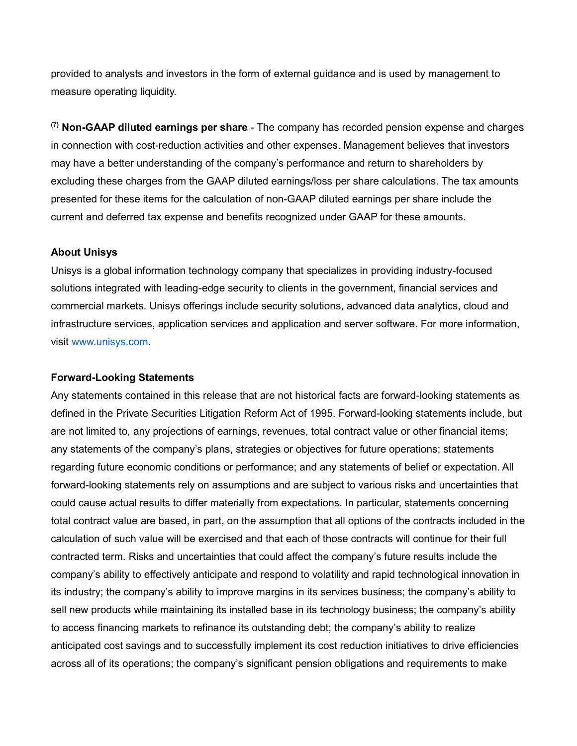provided to analysts and investors in the form of external guidance and is used by management to measure operating liquidity.

**(7) Non-GAAP diluted earnings per share** - The company has recorded pension expense and charges in connection with cost-reduction activities and other expenses. Management believes that investors may have a better understanding of the company's performance and return to shareholders by excluding these charges from the GAAP diluted earnings/loss per share calculations. The tax amounts presented for these items for the calculation of non-GAAP diluted earnings per share include the current and deferred tax expense and benefits recognized under GAAP for these amounts.

#### **About Unisys**

Unisys is a global information technology company that specializes in providing industry-focused solutions integrated with leading-edge security to clients in the government, financial services and commercial markets. Unisys offerings include security solutions, advanced data analytics, cloud and infrastructure services, application services and application and server software. For more information, visit www.unisys.com.

#### **Forward-Looking Statements**

Any statements contained in this release that are not historical facts are forward-looking statements as defined in the Private Securities Litigation Reform Act of 1995. Forward-looking statements include, but are not limited to, any projections of earnings, revenues, total contract value or other financial items; any statements of the company's plans, strategies or objectives for future operations; statements regarding future economic conditions or performance; and any statements of belief or expectation. All forward-looking statements rely on assumptions and are subject to various risks and uncertainties that could cause actual results to differ materially from expectations. In particular, statements concerning total contract value are based, in part, on the assumption that all options of the contracts included in the calculation of such value will be exercised and that each of those contracts will continue for their full contracted term. Risks and uncertainties that could affect the company's future results include the company's ability to effectively anticipate and respond to volatility and rapid technological innovation in its industry; the company's ability to improve margins in its services business; the company's ability to sell new products while maintaining its installed base in its technology business; the company's ability to access financing markets to refinance its outstanding debt; the company's ability to realize anticipated cost savings and to successfully implement its cost reduction initiatives to drive efficiencies across all of its operations; the company's significant pension obligations and requirements to make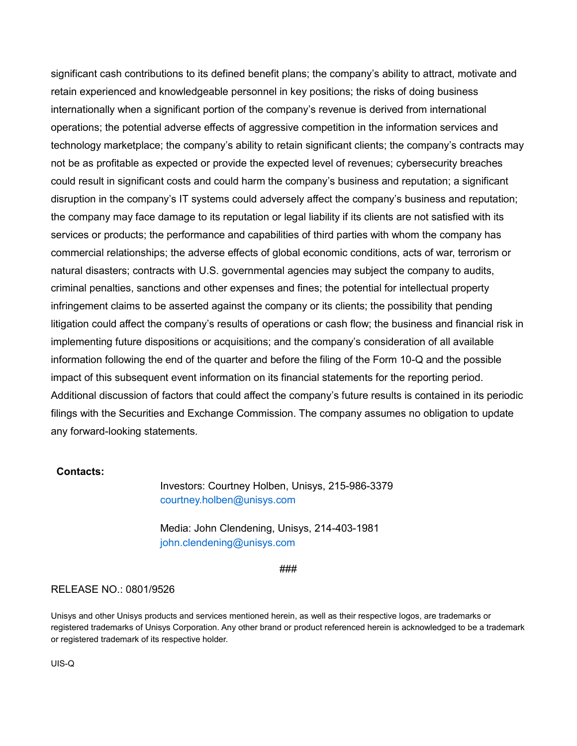significant cash contributions to its defined benefit plans; the company's ability to attract, motivate and retain experienced and knowledgeable personnel in key positions; the risks of doing business internationally when a significant portion of the company's revenue is derived from international operations; the potential adverse effects of aggressive competition in the information services and technology marketplace; the company's ability to retain significant clients; the company's contracts may not be as profitable as expected or provide the expected level of revenues; cybersecurity breaches could result in significant costs and could harm the company's business and reputation; a significant disruption in the company's IT systems could adversely affect the company's business and reputation; the company may face damage to its reputation or legal liability if its clients are not satisfied with its services or products; the performance and capabilities of third parties with whom the company has commercial relationships; the adverse effects of global economic conditions, acts of war, terrorism or natural disasters; contracts with U.S. governmental agencies may subject the company to audits, criminal penalties, sanctions and other expenses and fines; the potential for intellectual property infringement claims to be asserted against the company or its clients; the possibility that pending litigation could affect the company's results of operations or cash flow; the business and financial risk in implementing future dispositions or acquisitions; and the company's consideration of all available information following the end of the quarter and before the filing of the Form 10-Q and the possible impact of this subsequent event information on its financial statements for the reporting period. Additional discussion of factors that could affect the company's future results is contained in its periodic filings with the Securities and Exchange Commission. The company assumes no obligation to update any forward-looking statements.

#### **Contacts:**

Investors: Courtney Holben, Unisys, 215-986-3379 courtney.holben@unisys.com

Media: John Clendening, Unisys, 214-403-1981 john.clendening@unisys.com

#### ###

#### RELEASE NO.: 0801/9526

Unisys and other Unisys products and services mentioned herein, as well as their respective logos, are trademarks or registered trademarks of Unisys Corporation. Any other brand or product referenced herein is acknowledged to be a trademark or registered trademark of its respective holder.

UIS-Q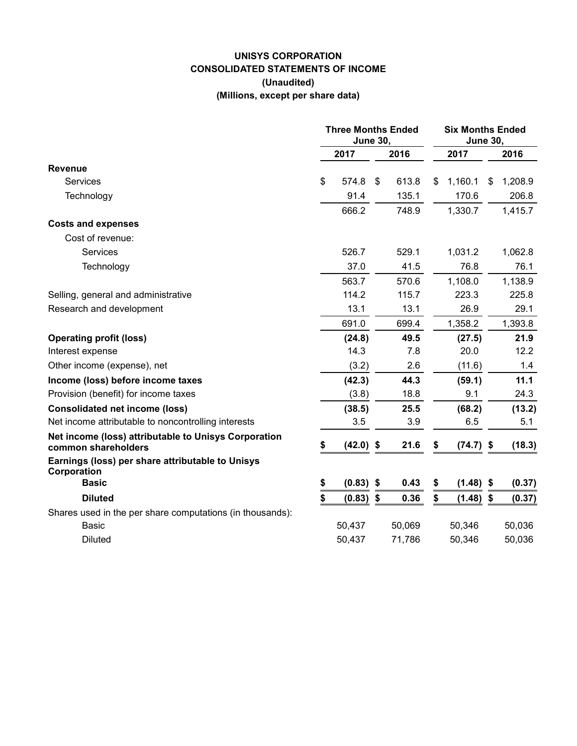# **UNISYS CORPORATION CONSOLIDATED STATEMENTS OF INCOME (Unaudited) (Millions, except per share data)**

|                                                                             | <b>Three Months Ended</b><br><b>June 30,</b> |             |    |        | <b>Six Months Ended</b><br><b>June 30,</b> |             |    |         |
|-----------------------------------------------------------------------------|----------------------------------------------|-------------|----|--------|--------------------------------------------|-------------|----|---------|
|                                                                             |                                              | 2017        |    | 2016   |                                            | 2017        |    | 2016    |
| <b>Revenue</b>                                                              |                                              |             |    |        |                                            |             |    |         |
| Services                                                                    | \$                                           | 574.8       | \$ | 613.8  | \$.                                        | 1,160.1     | \$ | 1,208.9 |
| Technology                                                                  |                                              | 91.4        |    | 135.1  |                                            | 170.6       |    | 206.8   |
|                                                                             |                                              | 666.2       |    | 748.9  |                                            | 1,330.7     |    | 1,415.7 |
| <b>Costs and expenses</b>                                                   |                                              |             |    |        |                                            |             |    |         |
| Cost of revenue:                                                            |                                              |             |    |        |                                            |             |    |         |
| <b>Services</b>                                                             |                                              | 526.7       |    | 529.1  |                                            | 1,031.2     |    | 1,062.8 |
| Technology                                                                  |                                              | 37.0        |    | 41.5   |                                            | 76.8        |    | 76.1    |
|                                                                             |                                              | 563.7       |    | 570.6  |                                            | 1,108.0     |    | 1,138.9 |
| Selling, general and administrative                                         |                                              | 114.2       |    | 115.7  |                                            | 223.3       |    | 225.8   |
| Research and development                                                    |                                              | 13.1        |    | 13.1   |                                            | 26.9        |    | 29.1    |
|                                                                             |                                              | 691.0       |    | 699.4  |                                            | 1,358.2     |    | 1,393.8 |
| <b>Operating profit (loss)</b>                                              |                                              | (24.8)      |    | 49.5   |                                            | (27.5)      |    | 21.9    |
| Interest expense                                                            |                                              | 14.3        |    | 7.8    |                                            | 20.0        |    | 12.2    |
| Other income (expense), net                                                 |                                              | (3.2)       |    | 2.6    |                                            | (11.6)      |    | 1.4     |
| Income (loss) before income taxes                                           |                                              | (42.3)      |    | 44.3   |                                            | (59.1)      |    | 11.1    |
| Provision (benefit) for income taxes                                        |                                              | (3.8)       |    | 18.8   |                                            | 9.1         |    | 24.3    |
| <b>Consolidated net income (loss)</b>                                       |                                              | (38.5)      |    | 25.5   |                                            | (68.2)      |    | (13.2)  |
| Net income attributable to noncontrolling interests                         |                                              | 3.5         |    | 3.9    |                                            | 6.5         |    | 5.1     |
| Net income (loss) attributable to Unisys Corporation<br>common shareholders | \$                                           | $(42.0)$ \$ |    | 21.6   | S                                          | $(74.7)$ \$ |    | (18.3)  |
| Earnings (loss) per share attributable to Unisys<br>Corporation             |                                              |             |    |        |                                            |             |    |         |
| <b>Basic</b>                                                                | \$                                           | $(0.83)$ \$ |    | 0.43   | \$                                         | $(1.48)$ \$ |    | (0.37)  |
| <b>Diluted</b>                                                              | \$                                           | (0.83)      | \$ | 0.36   | \$                                         | (1.48)      | \$ | (0.37)  |
| Shares used in the per share computations (in thousands):                   |                                              |             |    |        |                                            |             |    |         |
| <b>Basic</b>                                                                |                                              | 50,437      |    | 50,069 |                                            | 50,346      |    | 50,036  |
| <b>Diluted</b>                                                              |                                              | 50,437      |    | 71,786 |                                            | 50,346      |    | 50,036  |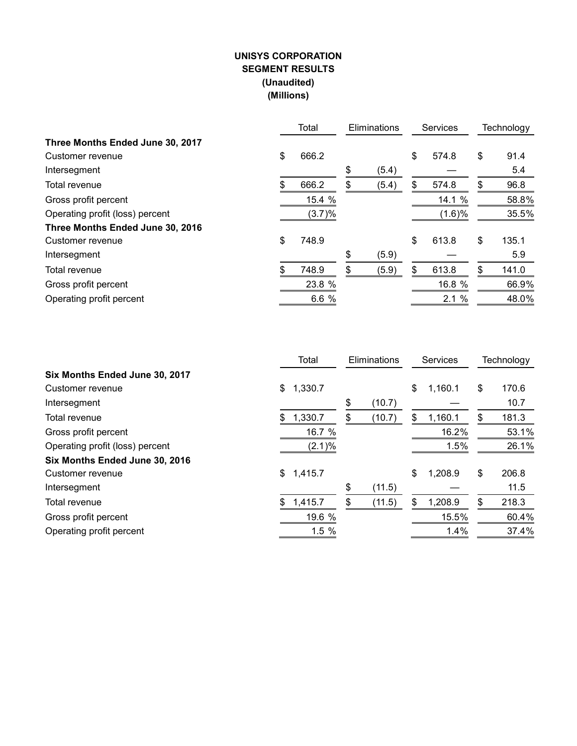# **UNISYS CORPORATION SEGMENT RESULTS (Unaudited) (Millions)**

|                                  |    | Total<br>Eliminations |    | <b>Services</b> | Technology  |             |
|----------------------------------|----|-----------------------|----|-----------------|-------------|-------------|
| Three Months Ended June 30, 2017 |    |                       |    |                 |             |             |
| Customer revenue                 | \$ | 666.2                 |    |                 | \$<br>574.8 | \$<br>91.4  |
| Intersegment                     |    |                       | \$ | (5.4)           |             | 5.4         |
| Total revenue                    | S  | 666.2                 | \$ | (5.4)           | \$<br>574.8 | \$<br>96.8  |
| Gross profit percent             |    | 15.4 %                |    |                 | 14.1 %      | 58.8%       |
| Operating profit (loss) percent  |    | (3.7)%                |    |                 | (1.6)%      | 35.5%       |
| Three Months Ended June 30, 2016 |    |                       |    |                 |             |             |
| Customer revenue                 | \$ | 748.9                 |    |                 | \$<br>613.8 | \$<br>135.1 |
| Intersegment                     |    |                       | \$ | (5.9)           |             | 5.9         |
| Total revenue                    | \$ | 748.9                 | \$ | (5.9)           | \$<br>613.8 | \$<br>141.0 |
| Gross profit percent             |    | 23.8 %                |    |                 | 16.8 %      | 66.9%       |
| Operating profit percent         |    | 6.6%                  |    |                 | 2.1%        | 48.0%       |

|                                 |    | Total     | Eliminations |        |    | <b>Services</b> | Technology  |
|---------------------------------|----|-----------|--------------|--------|----|-----------------|-------------|
| Six Months Ended June 30, 2017  |    |           |              |        |    |                 |             |
| Customer revenue                | \$ | 1,330.7   |              |        | \$ | 1,160.1         | \$<br>170.6 |
| Intersegment                    |    |           | \$           | (10.7) |    |                 | 10.7        |
| Total revenue                   | S  | 1,330.7   | \$           | (10.7) | S  | 1,160.1         | \$<br>181.3 |
| Gross profit percent            |    | 16.7 %    |              |        |    | 16.2%           | 53.1%       |
| Operating profit (loss) percent |    | $(2.1)\%$ |              |        |    | 1.5%            | 26.1%       |
| Six Months Ended June 30, 2016  |    |           |              |        |    |                 |             |
| Customer revenue                | \$ | 1,415.7   |              |        | \$ | 1,208.9         | \$<br>206.8 |
| Intersegment                    |    |           | \$           | (11.5) |    |                 | 11.5        |
| Total revenue                   | \$ | 1,415.7   | \$           | (11.5) | \$ | 1,208.9         | \$<br>218.3 |
| Gross profit percent            |    | 19.6 %    |              |        |    | 15.5%           | 60.4%       |
| Operating profit percent        |    | 1.5%      |              |        |    | 1.4%            | 37.4%       |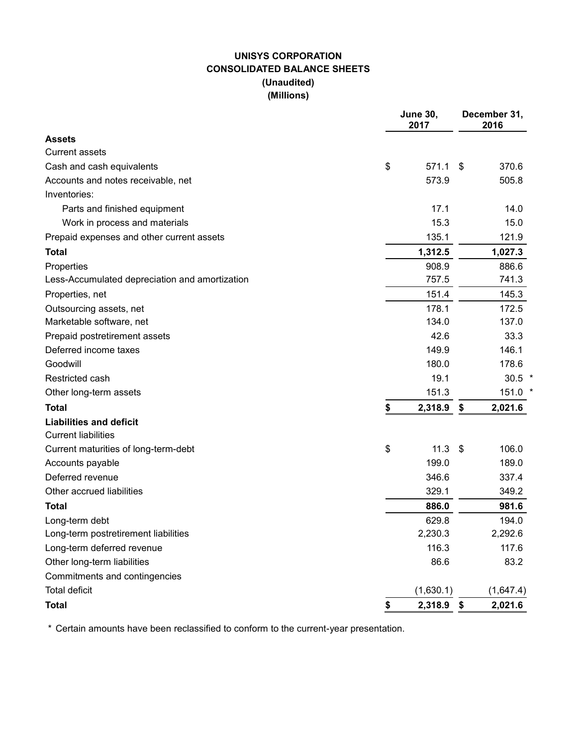# **UNISYS CORPORATION CONSOLIDATED BALANCE SHEETS (Unaudited) (Millions)**

|                                                | <b>June 30,</b><br>2017 | December 31,<br>2016 |           |  |  |
|------------------------------------------------|-------------------------|----------------------|-----------|--|--|
| <b>Assets</b>                                  |                         |                      |           |  |  |
| <b>Current assets</b>                          |                         |                      |           |  |  |
| Cash and cash equivalents                      | \$<br>571.1             | \$                   | 370.6     |  |  |
| Accounts and notes receivable, net             | 573.9                   |                      | 505.8     |  |  |
| Inventories:                                   |                         |                      |           |  |  |
| Parts and finished equipment                   | 17.1                    |                      | 14.0      |  |  |
| Work in process and materials                  | 15.3                    |                      | 15.0      |  |  |
| Prepaid expenses and other current assets      | 135.1                   |                      | 121.9     |  |  |
| <b>Total</b>                                   | 1,312.5                 |                      | 1,027.3   |  |  |
| Properties                                     | 908.9                   |                      | 886.6     |  |  |
| Less-Accumulated depreciation and amortization | 757.5                   |                      | 741.3     |  |  |
| Properties, net                                | 151.4                   |                      | 145.3     |  |  |
| Outsourcing assets, net                        | 178.1                   |                      | 172.5     |  |  |
| Marketable software, net                       | 134.0                   |                      | 137.0     |  |  |
| Prepaid postretirement assets                  | 42.6                    |                      | 33.3      |  |  |
| Deferred income taxes                          | 149.9                   |                      | 146.1     |  |  |
| Goodwill                                       | 180.0                   |                      | 178.6     |  |  |
| Restricted cash                                | 19.1                    |                      | $30.5$ *  |  |  |
| Other long-term assets                         | 151.3                   |                      | 151.0 *   |  |  |
| <b>Total</b>                                   | \$<br>2,318.9           | \$                   | 2,021.6   |  |  |
| <b>Liabilities and deficit</b>                 |                         |                      |           |  |  |
| <b>Current liabilities</b>                     |                         |                      |           |  |  |
| Current maturities of long-term-debt           | \$<br>11.3              | \$                   | 106.0     |  |  |
| Accounts payable                               | 199.0                   |                      | 189.0     |  |  |
| Deferred revenue                               | 346.6                   |                      | 337.4     |  |  |
| Other accrued liabilities                      | 329.1                   |                      | 349.2     |  |  |
| <b>Total</b>                                   | 886.0                   |                      | 981.6     |  |  |
| Long-term debt                                 | 629.8                   |                      | 194.0     |  |  |
| Long-term postretirement liabilities           | 2,230.3                 |                      | 2,292.6   |  |  |
| Long-term deferred revenue                     | 116.3                   |                      | 117.6     |  |  |
| Other long-term liabilities                    | 86.6                    |                      | 83.2      |  |  |
| Commitments and contingencies                  |                         |                      |           |  |  |
| <b>Total deficit</b>                           | (1,630.1)               |                      | (1,647.4) |  |  |
| <b>Total</b>                                   | \$<br>2,318.9           | \$                   | 2,021.6   |  |  |

\* Certain amounts have been reclassified to conform to the current-year presentation.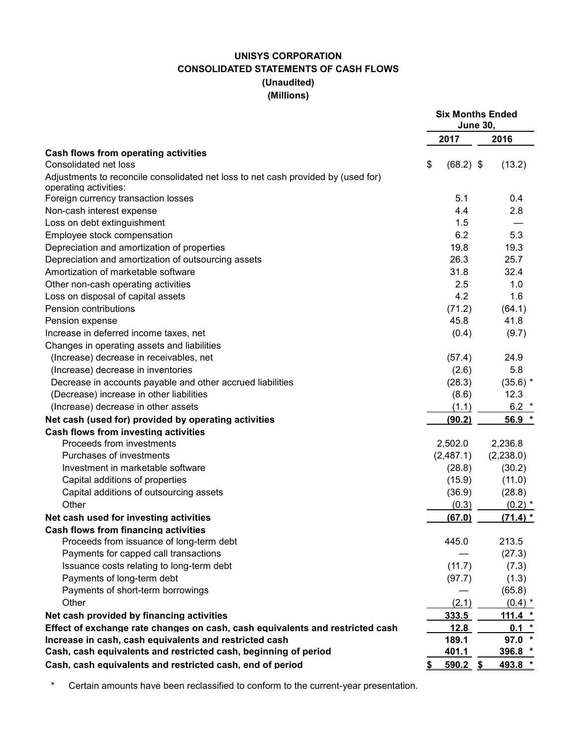# **UNISYS CORPORATION CONSOLIDATED STATEMENTS OF CASH FLOWS (Unaudited) (Millions)**

|                                                                                   | <b>Six Months Ended</b><br><b>June 30,</b> |            |  |  |  |
|-----------------------------------------------------------------------------------|--------------------------------------------|------------|--|--|--|
|                                                                                   | 2017                                       | 2016       |  |  |  |
| Cash flows from operating activities                                              |                                            |            |  |  |  |
| Consolidated net loss                                                             | $(68.2)$ \$<br>\$                          | (13.2)     |  |  |  |
| Adjustments to reconcile consolidated net loss to net cash provided by (used for) |                                            |            |  |  |  |
| operating activities:                                                             |                                            |            |  |  |  |
| Foreign currency transaction losses                                               | 5.1                                        | 0.4        |  |  |  |
| Non-cash interest expense                                                         | 4.4                                        | 2.8        |  |  |  |
| Loss on debt extinguishment                                                       | 1.5                                        |            |  |  |  |
| Employee stock compensation                                                       | 6.2                                        | 5.3        |  |  |  |
| Depreciation and amortization of properties                                       | 19.8                                       | 19.3       |  |  |  |
| Depreciation and amortization of outsourcing assets                               | 26.3                                       | 25.7       |  |  |  |
| Amortization of marketable software                                               | 31.8                                       | 32.4       |  |  |  |
| Other non-cash operating activities                                               | 2.5                                        | 1.0        |  |  |  |
| Loss on disposal of capital assets                                                | 4.2                                        | 1.6        |  |  |  |
| Pension contributions                                                             | (71.2)                                     | (64.1)     |  |  |  |
| Pension expense                                                                   | 45.8                                       | 41.8       |  |  |  |
| Increase in deferred income taxes, net                                            | (0.4)                                      | (9.7)      |  |  |  |
| Changes in operating assets and liabilities                                       |                                            |            |  |  |  |
| (Increase) decrease in receivables, net                                           | (57.4)                                     | 24.9       |  |  |  |
| (Increase) decrease in inventories                                                | (2.6)                                      | 5.8        |  |  |  |
| Decrease in accounts payable and other accrued liabilities                        | (28.3)                                     | $(35.6)$ * |  |  |  |
| (Decrease) increase in other liabilities                                          | (8.6)                                      | 12.3       |  |  |  |
| (Increase) decrease in other assets                                               | (1.1)                                      | 6.2 $*$    |  |  |  |
| Net cash (used for) provided by operating activities                              | (90.2)                                     | 56.9 *     |  |  |  |
| <b>Cash flows from investing activities</b>                                       |                                            |            |  |  |  |
| Proceeds from investments                                                         | 2,502.0                                    | 2,236.8    |  |  |  |
| Purchases of investments                                                          | (2,487.1)                                  | (2,238.0)  |  |  |  |
| Investment in marketable software                                                 | (28.8)                                     | (30.2)     |  |  |  |
| Capital additions of properties                                                   | (15.9)                                     | (11.0)     |  |  |  |
| Capital additions of outsourcing assets                                           | (36.9)                                     | (28.8)     |  |  |  |
| Other                                                                             | (0.3)                                      | $(0.2)$ *  |  |  |  |
| Net cash used for investing activities                                            | (67.0)                                     | $(71.4)$ * |  |  |  |
| Cash flows from financing activities                                              |                                            |            |  |  |  |
| Proceeds from issuance of long-term debt                                          | 445.0                                      | 213.5      |  |  |  |
| Payments for capped call transactions                                             |                                            | (27.3)     |  |  |  |
| Issuance costs relating to long-term debt                                         | (11.7)                                     | (7.3)      |  |  |  |
| Payments of long-term debt                                                        | (97.7)                                     | (1.3)      |  |  |  |
| Payments of short-term borrowings                                                 |                                            | (65.8)     |  |  |  |
| Other                                                                             | (2.1)                                      | $(0.4)$ *  |  |  |  |
| Net cash provided by financing activities                                         | 333.5                                      | 111.4 $*$  |  |  |  |
| Effect of exchange rate changes on cash, cash equivalents and restricted cash     | 12.8                                       | $0.1 *$    |  |  |  |
| Increase in cash, cash equivalents and restricted cash                            | 189.1                                      | $97.0*$    |  |  |  |
| Cash, cash equivalents and restricted cash, beginning of period                   | 401.1                                      | 396.8 *    |  |  |  |
| Cash, cash equivalents and restricted cash, end of period                         | <u>590.2 \$</u>                            | 493.8 *    |  |  |  |

\* Certain amounts have been reclassified to conform to the current-year presentation.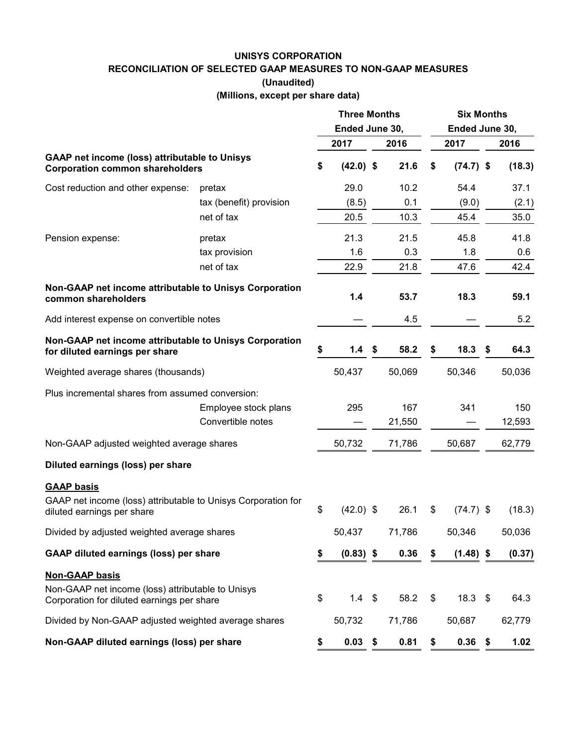#### **UNISYS CORPORATION**

**RECONCILIATION OF SELECTED GAAP MEASURES TO NON-GAAP MEASURES**

**(Unaudited)**

**(Millions, except per share data)**

|                                                                                                 |                         | <b>Three Months</b><br>Ended June 30, |             |  |        | <b>Six Months</b><br>Ended June 30, |             |    |        |  |  |
|-------------------------------------------------------------------------------------------------|-------------------------|---------------------------------------|-------------|--|--------|-------------------------------------|-------------|----|--------|--|--|
|                                                                                                 |                         |                                       | 2017        |  | 2016   |                                     | 2017        |    | 2016   |  |  |
| <b>GAAP net income (loss) attributable to Unisys</b><br><b>Corporation common shareholders</b>  |                         | \$                                    | $(42.0)$ \$ |  | 21.6   | \$                                  | $(74.7)$ \$ |    | (18.3) |  |  |
| Cost reduction and other expense:                                                               | pretax                  |                                       | 29.0        |  | 10.2   |                                     | 54.4        |    | 37.1   |  |  |
|                                                                                                 | tax (benefit) provision |                                       | (8.5)       |  | 0.1    |                                     | (9.0)       |    | (2.1)  |  |  |
|                                                                                                 | net of tax              |                                       | 20.5        |  | 10.3   |                                     | 45.4        |    | 35.0   |  |  |
| Pension expense:                                                                                | pretax                  |                                       | 21.3        |  | 21.5   |                                     | 45.8        |    | 41.8   |  |  |
|                                                                                                 | tax provision           |                                       | 1.6         |  | 0.3    |                                     | 1.8         |    | 0.6    |  |  |
|                                                                                                 | net of tax              |                                       | 22.9        |  | 21.8   |                                     | 47.6        |    | 42.4   |  |  |
| Non-GAAP net income attributable to Unisys Corporation<br>common shareholders                   |                         |                                       | 1.4         |  | 53.7   |                                     | 18.3        |    | 59.1   |  |  |
| Add interest expense on convertible notes                                                       |                         |                                       |             |  | 4.5    |                                     |             |    | 5.2    |  |  |
| Non-GAAP net income attributable to Unisys Corporation<br>for diluted earnings per share        |                         | \$                                    | 1.4         |  | 58.2   | S                                   | 18.3        | \$ | 64.3   |  |  |
| Weighted average shares (thousands)                                                             |                         |                                       | 50,437      |  | 50,069 |                                     | 50,346      |    | 50,036 |  |  |
| Plus incremental shares from assumed conversion:                                                |                         |                                       |             |  |        |                                     |             |    |        |  |  |
|                                                                                                 | Employee stock plans    |                                       | 295         |  | 167    |                                     | 341         |    | 150    |  |  |
|                                                                                                 | Convertible notes       |                                       |             |  | 21,550 |                                     |             |    | 12,593 |  |  |
| Non-GAAP adjusted weighted average shares                                                       |                         |                                       | 50,732      |  | 71,786 |                                     | 50,687      |    | 62,779 |  |  |
| Diluted earnings (loss) per share                                                               |                         |                                       |             |  |        |                                     |             |    |        |  |  |
| <b>GAAP basis</b>                                                                               |                         |                                       |             |  |        |                                     |             |    |        |  |  |
| GAAP net income (loss) attributable to Unisys Corporation for<br>diluted earnings per share     |                         | \$                                    | $(42.0)$ \$ |  | 26.1   | \$                                  | $(74.7)$ \$ |    | (18.3) |  |  |
| Divided by adjusted weighted average shares                                                     |                         |                                       | 50,437      |  | 71,786 |                                     | 50,346      |    | 50,036 |  |  |
| <b>GAAP diluted earnings (loss) per share</b>                                                   |                         | \$                                    | $(0.83)$ \$ |  | 0.36   | \$                                  | $(1.48)$ \$ |    | (0.37) |  |  |
| <b>Non-GAAP basis</b>                                                                           |                         |                                       |             |  |        |                                     |             |    |        |  |  |
| Non-GAAP net income (loss) attributable to Unisys<br>Corporation for diluted earnings per share |                         | \$                                    | $1.4 \quad$ |  | 58.2   | \$                                  | 18.3        | \$ | 64.3   |  |  |
| Divided by Non-GAAP adjusted weighted average shares                                            |                         |                                       | 50,732      |  | 71,786 |                                     | 50,687      |    | 62,779 |  |  |
| Non-GAAP diluted earnings (loss) per share                                                      |                         | \$                                    | $0.03$ \$   |  | 0.81   | \$                                  | $0.36$ \$   |    | 1.02   |  |  |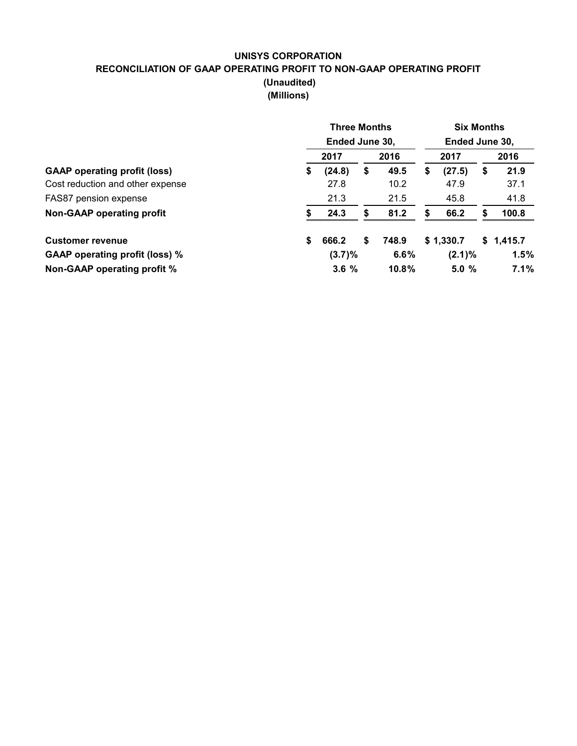## **UNISYS CORPORATION RECONCILIATION OF GAAP OPERATING PROFIT TO NON-GAAP OPERATING PROFIT (Unaudited) (Millions)**

|                                       | <b>Three Months</b><br>Ended June 30, |                |       |           |           |    | <b>Six Months</b><br>Ended June 30, |  |  |
|---------------------------------------|---------------------------------------|----------------|-------|-----------|-----------|----|-------------------------------------|--|--|
|                                       | 2017                                  |                | 2016  |           | 2017      |    | 2016                                |  |  |
| <b>GAAP</b> operating profit (loss)   | \$<br>(24.8)                          | \$             | 49.5  | \$        | (27.5)    | \$ | 21.9                                |  |  |
| Cost reduction and other expense      | 27.8                                  |                | 10.2  |           | 47.9      |    | 37.1                                |  |  |
| FAS87 pension expense                 | 21.3                                  |                | 21.5  |           | 45.8      |    | 41.8                                |  |  |
| Non-GAAP operating profit             | 24.3                                  | S              | 81.2  | S         | 66.2      | S  | 100.8                               |  |  |
| <b>Customer revenue</b>               | \$<br>666.2                           | \$             | 748.9 |           | \$1,330.7 |    | \$1,415.7                           |  |  |
| <b>GAAP operating profit (loss) %</b> |                                       | (3.7)%<br>6.6% |       | $(2.1)\%$ |           |    | 1.5%                                |  |  |
| Non-GAAP operating profit %           |                                       | 3.6%<br>10.8%  |       | 5.0%      |           |    | 7.1%                                |  |  |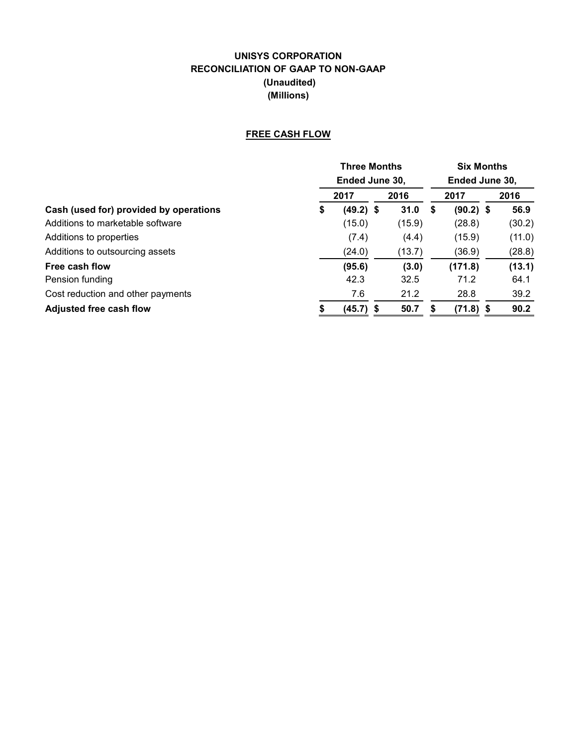# **UNISYS CORPORATION RECONCILIATION OF GAAP TO NON-GAAP (Unaudited) (Millions)**

# **FREE CASH FLOW**

|                                        |                | <b>Three Months</b> |  |        |   |                | <b>Six Months</b> |        |  |  |  |
|----------------------------------------|----------------|---------------------|--|--------|---|----------------|-------------------|--------|--|--|--|
|                                        | Ended June 30. |                     |  |        |   | Ended June 30, |                   |        |  |  |  |
|                                        |                | 2017                |  | 2016   |   | 2017           |                   | 2016   |  |  |  |
| Cash (used for) provided by operations | \$             | $(49.2)$ \$         |  | 31.0   | 5 | $(90.2)$ \$    |                   | 56.9   |  |  |  |
| Additions to marketable software       |                | (15.0)              |  | (15.9) |   | (28.8)         |                   | (30.2) |  |  |  |
| Additions to properties                |                | (7.4)               |  | (4.4)  |   | (15.9)         |                   | (11.0) |  |  |  |
| Additions to outsourcing assets        |                | (24.0)              |  | (13.7) |   | (36.9)         |                   | (28.8) |  |  |  |
| Free cash flow                         |                | (95.6)              |  | (3.0)  |   | (171.8)        |                   | (13.1) |  |  |  |
| Pension funding                        |                | 42.3                |  | 32.5   |   | 71.2           |                   | 64.1   |  |  |  |
| Cost reduction and other payments      |                | 7.6                 |  | 21.2   |   | 28.8           |                   | 39.2   |  |  |  |
| <b>Adjusted free cash flow</b>         |                | $(45.7)$ \$         |  | 50.7   |   | $(71.8)$ \$    |                   | 90.2   |  |  |  |